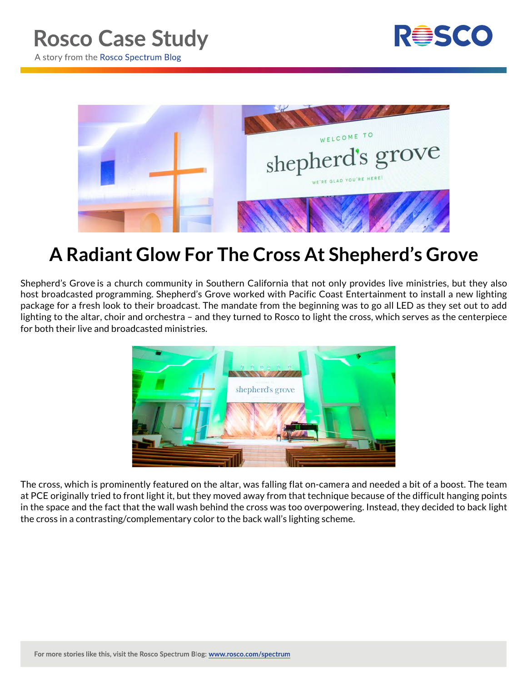



## **A Radiant Glow For The Cross At Shepherd's Grove**

Shepherd's Grove is a church community in Southern California that not only provides live ministries, but they also host broadcasted programming. Shepherd's Grove worked with Pacific Coast Entertainment to install a new lighting package for a fresh look to their broadcast. The mandate from the beginning was to go all LED as they set out to add lighting to the altar, choir and orchestra – and they turned to Rosco to light the cross, which serves as the centerpiece for both their live and broadcasted ministries.



The cross, which is prominently featured on the altar, was falling flat on-camera and needed a bit of a boost. The team at PCE originally tried to front light it, but they moved away from that technique because of the difficult hanging points in the space and the fact that the wall wash behind the cross was too overpowering. Instead, they decided to back light the cross in a contrasting/complementary color to the back wall's lighting scheme.